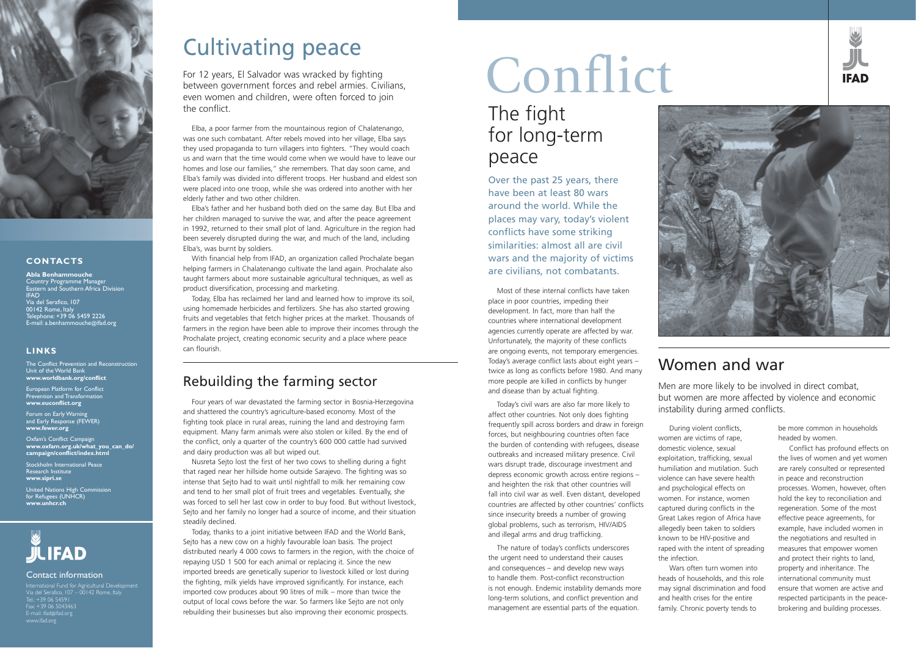Four years of war devastated the farming sector in Bosnia-Herzegovina and shattered the country's agriculture-based economy. Most of the fighting took place in rural areas, ruining the land and destroying farm equipment. Many farm animals were also stolen or killed. By the end of the conflict, only a quarter of the country's 600 000 cattle had survived and dairy production was all but wiped out.

Nusreta Sejto lost the first of her two cows to shelling during a fight that raged near her hillside home outside Sarajevo. The fighting was so intense that Sejto had to wait until nightfall to milk her remaining cow and tend to her small plot of fruit trees and vegetables. Eventually, she was forced to sell her last cow in order to buy food. But without livestock, Sejto and her family no longer had a source of income, and their situation steadily declined.

Today, thanks to a joint initiative between IFAD and the World Bank, Sejto has a new cow on a highly favourable loan basis. The project distributed nearly 4 000 cows to farmers in the region, with the choice of repaying USD 1 500 for each animal or replacing it. Since the new imported breeds are genetically superior to livestock killed or lost during the fighting, milk yields have improved significantly. For instance, each imported cow produces about 90 litres of milk – more than twice the output of local cows before the war. So farmers like Sejto are not only rebuilding their businesses but also improving their economic prospects.

#### Rebuilding the farming sector

For 12 years, El Salvador was wracked by fighting between government forces and rebel armies. Civilians, even women and children, were often forced to join the conflict.

Elba, a poor farmer from the mountainous region of Chalatenango, was one such combatant. After rebels moved into her village, Elba says they used propaganda to turn villagers into fighters. "They would coach us and warn that the time would come when we would have to leave our homes and lose our families," she remembers. That day soon came, and Elba's family was divided into different troops. Her husband and eldest son were placed into one troop, while she was ordered into another with her elderly father and two other children.

Elba's father and her husband both died on the same day. But Elba and her children managed to survive the war, and after the peace agreement in 1992, returned to their small plot of land. Agriculture in the region had been severely disrupted during the war, and much of the land, including Elba's, was burnt by soldiers.

With financial help from IFAD, an organization called Prochalate began helping farmers in Chalatenango cultivate the land again. Prochalate also taught farmers about more sustainable agricultural techniques, as well as product diversification, processing and marketing.

Today, Elba has reclaimed her land and learned how to improve its soil, using homemade herbicides and fertilizers. She has also started growing fruits and vegetables that fetch higher prices at the market. Thousands of farmers in the region have been able to improve their incomes through the Prochalate project, creating economic security and a place where peace can flourish.

## Cultivating peace



#### **CONTACTS**

#### **LINKS**

**Abla Benhammouche** Country Programme Manager Eastern and Southern Africa Division IFAD n<br><u>Via del Seraf</u>ico, 107 00142 Rome, Italy Telephone: +39 06 5459 2226 E-mail: a.benhammouche@ifad.org

The Conflict Prevention and Reconstruction Unit of the World Bank **www.worldbank.org/conflict**

European Platform for Conflict Prevention and Transformation **www.euconflict.org**

Forum on Early Warning and Early Response (FEWER) **www.fewer.org**

Oxfam's Conflict Campaign **www.oxfam.org.uk/what\_you\_can\_do/ campaign/conflict/index.html**

Stockholm International Peace Research Institute **www.sipri.se**

United Nations High Commission for Refugees (UNHCR) **www.unhcr.ch**

## **JILIFAD**

#### Contact information

International Fund for Agricultural Development Via del Serafico, 107 – 00142 Rome, Italy Tel.: +39 06 54591 Fax: +39 06 5043463 E-mail: ifad@ifad.org www.ifad.org

During violent conflicts, women are victims of rape, domestic violence, sexual exploitation, trafficking, sexual humiliation and mutilation. Such violence can have severe health and psychological effects on women. For instance, women captured during conflicts in the Great Lakes region of Africa have allegedly been taken to soldiers known to be HIV-positive and raped with the intent of spreading

the infection.





Wars often turn women into heads of households, and this role may signal discrimination and food and health crises for the entire family. Chronic poverty tends to

be more common in households headed by women.

Conflict has profound effects on the lives of women and yet women are rarely consulted or represented in peace and reconstruction processes. Women, however, often hold the key to reconciliation and regeneration. Some of the most effective peace agreements, for example, have included women in the negotiations and resulted in measures that empower women and protect their rights to land, property and inheritance. The international community must ensure that women are active and respected participants in the peacebrokering and building processes.

Over the past 25 years, there have been at least 80 wars around the world. While the places may vary, today's violent conflicts have some striking similarities: almost all are civil wars and the majority of victims are civilians, not combatants.

Most of these internal conflicts have taken place in poor countries, impeding their development. In fact, more than half the countries where international development agencies currently operate are affected by war. Unfortunately, the majority of these conflicts are ongoing events, not temporary emergencies. Today's average conflict lasts about eight years – twice as long as conflicts before 1980. And many more people are killed in conflicts by hunger and disease than by actual fighting.

Today's civil wars are also far more likely to affect other countries. Not only does fighting frequently spill across borders and draw in foreign forces, but neighbouring countries often face the burden of contending with refugees, disease outbreaks and increased military presence. Civil wars disrupt trade, discourage investment and depress economic growth across entire regions – and heighten the risk that other countries will fall into civil war as well. Even distant, developed countries are affected by other countries' conflicts since insecurity breeds a number of growing global problems, such as terrorism, HIV/AIDS and illegal arms and drug trafficking.

The nature of today's conflicts underscores the urgent need to understand their causes and consequences – and develop new ways to handle them. Post-conflict reconstruction is not enough. Endemic instability demands more long-term solutions, and conflict prevention and management are essential parts of the equation.

### The fight for long-term peace

# Conflict

## Women and war

Men are more likely to be involved in direct combat, but women are more affected by violence and economic instability during armed conflicts.